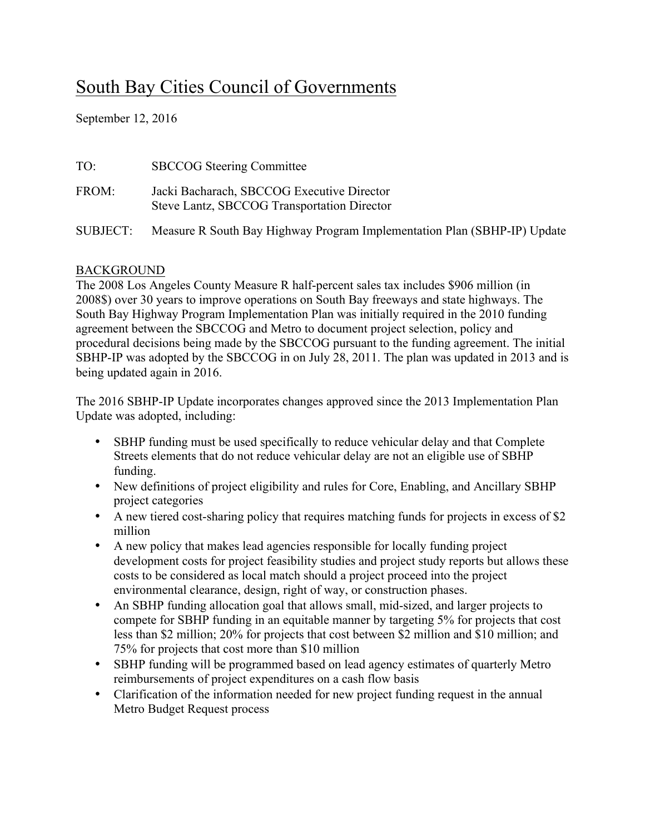## South Bay Cities Council of Governments

September 12, 2016

| TO:      | <b>SBCCOG</b> Steering Committee                                                          |
|----------|-------------------------------------------------------------------------------------------|
| FROM:    | Jacki Bacharach, SBCCOG Executive Director<br>Steve Lantz, SBCCOG Transportation Director |
| SUBJECT: | Measure R South Bay Highway Program Implementation Plan (SBHP-IP) Update                  |

## BACKGROUND

The 2008 Los Angeles County Measure R half-percent sales tax includes \$906 million (in 2008\$) over 30 years to improve operations on South Bay freeways and state highways. The South Bay Highway Program Implementation Plan was initially required in the 2010 funding agreement between the SBCCOG and Metro to document project selection, policy and procedural decisions being made by the SBCCOG pursuant to the funding agreement. The initial SBHP-IP was adopted by the SBCCOG in on July 28, 2011. The plan was updated in 2013 and is being updated again in 2016.

The 2016 SBHP-IP Update incorporates changes approved since the 2013 Implementation Plan Update was adopted, including:

- SBHP funding must be used specifically to reduce vehicular delay and that Complete Streets elements that do not reduce vehicular delay are not an eligible use of SBHP funding.
- New definitions of project eligibility and rules for Core, Enabling, and Ancillary SBHP project categories
- A new tiered cost-sharing policy that requires matching funds for projects in excess of \$2 million
- A new policy that makes lead agencies responsible for locally funding project development costs for project feasibility studies and project study reports but allows these costs to be considered as local match should a project proceed into the project environmental clearance, design, right of way, or construction phases.
- An SBHP funding allocation goal that allows small, mid-sized, and larger projects to compete for SBHP funding in an equitable manner by targeting 5% for projects that cost less than \$2 million; 20% for projects that cost between \$2 million and \$10 million; and 75% for projects that cost more than \$10 million
- SBHP funding will be programmed based on lead agency estimates of quarterly Metro reimbursements of project expenditures on a cash flow basis
- Clarification of the information needed for new project funding request in the annual Metro Budget Request process